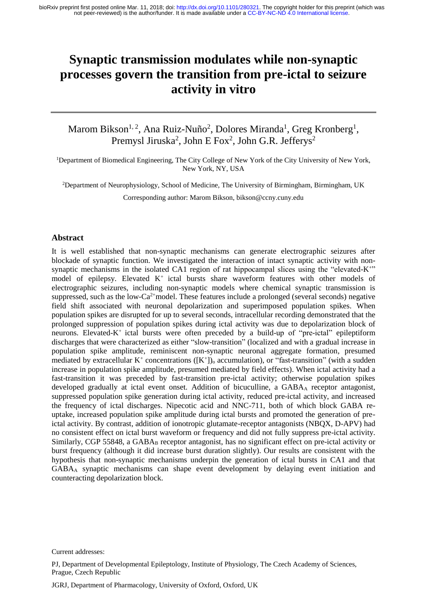# **Synaptic transmission modulates while non-synaptic processes govern the transition from pre-ictal to seizure activity in vitro**

# Marom Bikson<sup>1, 2</sup>, Ana Ruiz-Nuño<sup>2</sup>, Dolores Miranda<sup>1</sup>, Greg Kronberg<sup>1</sup>, Premysl Jiruska<sup>2</sup>, John E Fox<sup>2</sup>, John G.R. Jefferys<sup>2</sup>

<sup>1</sup>Department of Biomedical Engineering, The City College of New York of the City University of New York, New York, NY, USA

<sup>2</sup>Department of Neurophysiology, School of Medicine, The University of Birmingham, Birmingham, UK

Corresponding author: Marom Bikson, bikson@ccny.cuny.edu

#### **Abstract**

It is well established that non-synaptic mechanisms can generate electrographic seizures after blockade of synaptic function. We investigated the interaction of intact synaptic activity with nonsynaptic mechanisms in the isolated CA1 region of rat hippocampal slices using the "elevated-K<sup>+"</sup> model of epilepsy. Elevated K<sup>+</sup> ictal bursts share waveform features with other models of electrographic seizures, including non-synaptic models where chemical synaptic transmission is suppressed, such as the low- $Ca^{2+}$ model. These features include a prolonged (several seconds) negative field shift associated with neuronal depolarization and superimposed population spikes. When population spikes are disrupted for up to several seconds, intracellular recording demonstrated that the prolonged suppression of population spikes during ictal activity was due to depolarization block of neurons. Elevated-K<sup>+</sup> ictal bursts were often preceded by a build-up of "pre-ictal" epileptiform discharges that were characterized as either "slow-transition" (localized and with a gradual increase in population spike amplitude, reminiscent non-synaptic neuronal aggregate formation, presumed mediated by extracellular  $K^+$  concentrations ( $[K^+]$ )<sub>o</sub> accumulation), or "fast-transition" (with a sudden increase in population spike amplitude, presumed mediated by field effects). When ictal activity had a fast-transition it was preceded by fast-transition pre-ictal activity; otherwise population spikes developed gradually at ictal event onset. Addition of bicuculline, a GABA<sub>A</sub> receptor antagonist, suppressed population spike generation during ictal activity, reduced pre-ictal activity, and increased the frequency of ictal discharges. Nipecotic acid and NNC-711, both of which block GABA reuptake, increased population spike amplitude during ictal bursts and promoted the generation of preictal activity. By contrast, addition of ionotropic glutamate-receptor antagonists (NBQX, D-APV) had no consistent effect on ictal burst waveform or frequency and did not fully suppress pre-ictal activity. Similarly, CGP 55848, a GABA<sub>B</sub> receptor antagonist, has no significant effect on pre-ictal activity or burst frequency (although it did increase burst duration slightly). Our results are consistent with the hypothesis that non-synaptic mechanisms underpin the generation of ictal bursts in CA1 and that GABA<sup>A</sup> synaptic mechanisms can shape event development by delaying event initiation and counteracting depolarization block.

Current addresses:

PJ, Department of Developmental Epileptology, Institute of Physiology, The Czech Academy of Sciences, Prague, Czech Republic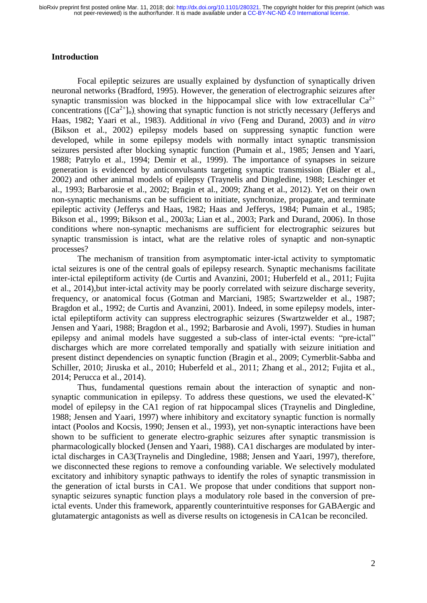# **Introduction**

Focal epileptic seizures are usually explained by dysfunction of synaptically driven neuronal networks (Bradford, 1995). However, the generation of electrographic seizures after synaptic transmission was blocked in the hippocampal slice with low extracellular  $Ca^{2+}$ concentrations ( $[Ca^{2+}]_0$ ), showing that synaptic function is not strictly necessary (Jefferys and Haas, 1982; Yaari et al., 1983). Additional *in vivo* (Feng and Durand, 2003) and *in vitro* (Bikson et al., 2002) epilepsy models based on suppressing synaptic function were developed, while in some epilepsy models with normally intact synaptic transmission seizures persisted after blocking synaptic function (Pumain et al., 1985; Jensen and Yaari, 1988; Patrylo et al., 1994; Demir et al., 1999). The importance of synapses in seizure generation is evidenced by anticonvulsants targeting synaptic transmission (Bialer et al., 2002) and other animal models of epilepsy (Traynelis and Dingledine, 1988; Leschinger et al., 1993; Barbarosie et al., 2002; Bragin et al., 2009; Zhang et al., 2012). Yet on their own non-synaptic mechanisms can be sufficient to initiate, synchronize, propagate, and terminate epileptic activity (Jefferys and Haas, 1982; Haas and Jefferys, 1984; Pumain et al., 1985; Bikson et al., 1999; Bikson et al., 2003a; Lian et al., 2003; Park and Durand, 2006). In those conditions where non-synaptic mechanisms are sufficient for electrographic seizures but synaptic transmission is intact, what are the relative roles of synaptic and non-synaptic processes?

The mechanism of transition from asymptomatic inter-ictal activity to symptomatic ictal seizures is one of the central goals of epilepsy research. Synaptic mechanisms facilitate inter-ictal epileptiform activity (de Curtis and Avanzini, 2001; Huberfeld et al., 2011; Fujita et al., 2014),but inter-ictal activity may be poorly correlated with seizure discharge severity, frequency, or anatomical focus (Gotman and Marciani, 1985; Swartzwelder et al., 1987; Bragdon et al., 1992; de Curtis and Avanzini, 2001). Indeed, in some epilepsy models, interictal epileptiform activity can suppress electrographic seizures (Swartzwelder et al., 1987; Jensen and Yaari, 1988; Bragdon et al., 1992; Barbarosie and Avoli, 1997). Studies in human epilepsy and animal models have suggested a sub-class of inter-ictal events: "pre-ictal" discharges which are more correlated temporally and spatially with seizure initiation and present distinct dependencies on synaptic function (Bragin et al., 2009; Cymerblit-Sabba and Schiller, 2010; Jiruska et al., 2010; Huberfeld et al., 2011; Zhang et al., 2012; Fujita et al., 2014; Perucca et al., 2014).

Thus, fundamental questions remain about the interaction of synaptic and nonsynaptic communication in epilepsy. To address these questions, we used the elevated- $K^+$ model of epilepsy in the CA1 region of rat hippocampal slices (Traynelis and Dingledine, 1988; Jensen and Yaari, 1997) where inhibitory and excitatory synaptic function is normally intact (Poolos and Kocsis, 1990; Jensen et al., 1993), yet non-synaptic interactions have been shown to be sufficient to generate electro-graphic seizures after synaptic transmission is pharmacologically blocked (Jensen and Yaari, 1988). CA1 discharges are modulated by interictal discharges in CA3(Traynelis and Dingledine, 1988; Jensen and Yaari, 1997), therefore, we disconnected these regions to remove a confounding variable. We selectively modulated excitatory and inhibitory synaptic pathways to identify the roles of synaptic transmission in the generation of ictal bursts in CA1. We propose that under conditions that support nonsynaptic seizures synaptic function plays a modulatory role based in the conversion of preictal events. Under this framework, apparently counterintuitive responses for GABAergic and glutamatergic antagonists as well as diverse results on ictogenesis in CA1can be reconciled.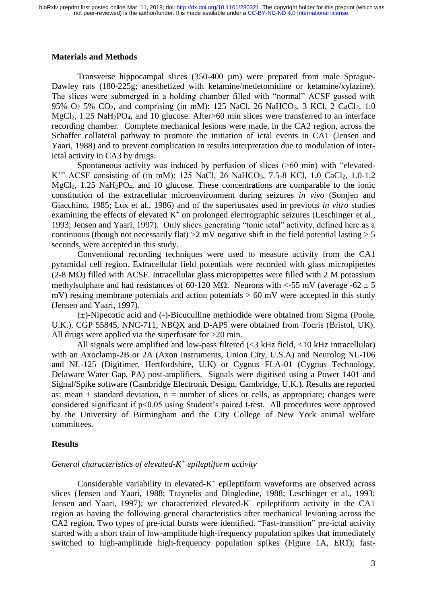# **Materials and Methods**

Transverse hippocampal slices (350-400 µm) were prepared from male Sprague-Dawley rats (180-225g; anesthetized with ketamine/medetomidine or ketamine/xylazine). The slices were submerged in a holding chamber filled with "normal" ACSF gassed with 95%  $O_2$  5%  $CO_2$ , and comprising (in mM): 125 NaCl, 26 NaHCO<sub>3</sub>, 3 KCl, 2 CaCl<sub>2</sub>, 1.0 MgCl<sub>2</sub>, 1.25 NaH<sub>2</sub>PO<sub>4</sub>, and 10 glucose. After>60 min slices were transferred to an interface recording chamber. Complete mechanical lesions were made, in the CA2 region, across the Schaffer collateral pathway to promote the initiation of ictal events in CA1 (Jensen and Yaari, 1988) and to prevent complication in results interpretation due to modulation of interictal activity in CA3 by drugs.

Spontaneous activity was induced by perfusion of slices (>60 min) with "elevated-K<sup>+</sup>" ACSF consisting of (in mM): 125 NaCl, 26 NaHCO<sub>3</sub>, 7.5-8 KCl, 1.0 CaCl<sub>2</sub>, 1.0-1.2  $MgCl<sub>2</sub>$ , 1.25 NaH<sub>2</sub>PO<sub>4</sub>, and 10 glucose. These concentrations are comparable to the ionic constitution of the extracellular microenvironment during seizures *in vivo* (Somjen and Giacchino, 1985; Lux et al., 1986) and of the superfusates used in previous *in vitro* studies examining the effects of elevated  $K^+$  on prolonged electrographic seizures (Leschinger et al., 1993; Jensen and Yaari, 1997). Only slices generating "tonic ictal" activity, defined here as a continuous (though not necessarily flat)  $>2$  mV negative shift in the field potential lasting  $> 5$ seconds, were accepted in this study.

Conventional recording techniques were used to measure activity from the CA1 pyramidal cell region. Extracellular field potentials were recorded with glass micropipettes  $(2-8 \text{ M}\Omega)$  filled with ACSF. Intracellular glass micropipettes were filled with 2 M potassium methylsulphate and had resistances of 60-120 M $\Omega$ . Neurons with <-55 mV (average -62  $\pm$  5 mV) resting membrane potentials and action potentials  $> 60$  mV were accepted in this study (Jensen and Yaari, 1997).

(±)-Nipecotic acid and (-)-Bicuculline methiodide were obtained from Sigma (Poole, U.K.). CGP 55845, NNC-711, NBQX and D-AP5 were obtained from Tocris (Bristol, UK). All drugs were applied via the superfusate for  $>20$  min.

All signals were amplified and low-pass filtered (<3 kHz field, <10 kHz intracellular) with an Axoclamp-2B or 2A (Axon Instruments, Union City, U.S.A) and Neurolog NL-106 and NL-125 (Digitimer, Hertfordshire, U.K) or Cygnus FLA-01 (Cygnus Technology, Delaware Water Gap, PA) post-amplifiers. Signals were digitised using a Power 1401 and Signal/Spike software (Cambridge Electronic Design, Cambridge, U.K.). Results are reported as: mean  $\pm$  standard deviation, n = number of slices or cells, as appropriate; changes were considered significant if p<0.05 using Student's paired t-test. All procedures were approved by the University of Birmingham and the City College of New York animal welfare committees.

#### **Results**

# *General characteristics of elevated-K + epileptiform activity*

Considerable variability in elevated- $K^+$  epileptiform waveforms are observed across slices (Jensen and Yaari, 1988; Traynelis and Dingledine, 1988; Leschinger et al., 1993; Jensen and Yaari, 1997); we characterized elevated- $K^+$  epileptiform activity in the CA1 region as having the following general characteristics after mechanical lesioning across the CA2 region. Two types of pre-ictal bursts were identified. "Fast-transition" pre-ictal activity started with a short train of low-amplitude high-frequency population spikes that immediately switched to high-amplitude high-frequency population spikes (Figure 1A, ER1); fast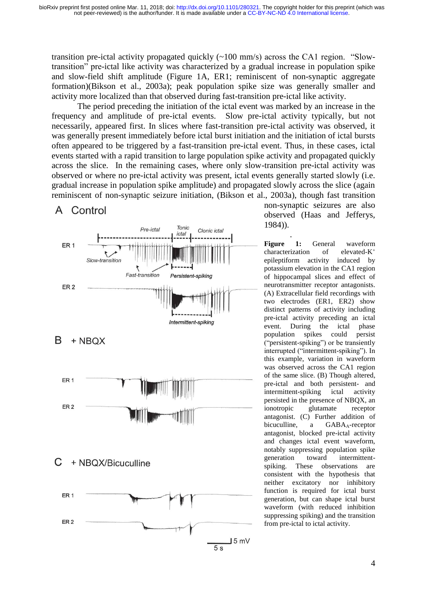transition pre-ictal activity propagated quickly (~100 mm/s) across the CA1 region. "Slowtransition" pre-ictal like activity was characterized by a gradual increase in population spike and slow-field shift amplitude (Figure 1A, ER1; reminiscent of non-synaptic aggregate formation)(Bikson et al., 2003a); peak population spike size was generally smaller and activity more localized than that observed during fast-transition pre-ictal like activity.

The period preceding the initiation of the ictal event was marked by an increase in the frequency and amplitude of pre-ictal events. Slow pre-ictal activity typically, but not necessarily, appeared first. In slices where fast-transition pre-ictal activity was observed, it was generally present immediately before ictal burst initiation and the initiation of ictal bursts often appeared to be triggered by a fast-transition pre-ictal event. Thus, in these cases, ictal events started with a rapid transition to large population spike activity and propagated quickly across the slice. In the remaining cases, where only slow-transition pre-ictal activity was observed or where no pre-ictal activity was present, ictal events generally started slowly (i.e. gradual increase in population spike amplitude) and propagated slowly across the slice (again reminiscent of non-synaptic seizure initiation, (Bikson et al., 2003a), though fast transition

# A Control



non-synaptic seizures are also observed (Haas and Jefferys, 1984)).

. **Figure 1:** General waveform characterization of elevated-K<sup>+</sup> epileptiform activity induced by potassium elevation in the CA1 region of hippocampal slices and effect of neurotransmitter receptor antagonists. (A) Extracellular field recordings with two electrodes (ER1, ER2) show distinct patterns of activity including pre-ictal activity preceding an ictal event. During the ictal phase population spikes could persist ("persistent-spiking") or be transiently interrupted ("intermittent-spiking"). In this example, variation in waveform was observed across the CA1 region of the same slice. (B) Though altered, pre-ictal and both persistent- and intermittent-spiking ictal activity persisted in the presence of NBQX, an ionotropic glutamate receptor antagonist. (C) Further addition of bicuculline, a GABA<sub>A</sub>-receptor antagonist, blocked pre-ictal activity and changes ictal event waveform, notably suppressing population spike generation toward intermittentspiking. These observations are consistent with the hypothesis that neither excitatory nor inhibitory function is required for ictal burst generation, but can shape ictal burst waveform (with reduced inhibition suppressing spiking) and the transition from pre-ictal to ictal activity.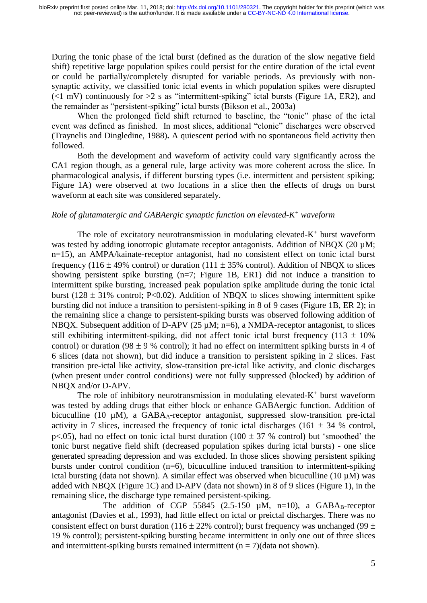During the tonic phase of the ictal burst (defined as the duration of the slow negative field shift) repetitive large population spikes could persist for the entire duration of the ictal event or could be partially/completely disrupted for variable periods. As previously with nonsynaptic activity, we classified tonic ictal events in which population spikes were disrupted  $(\leq 1 \text{ mV})$  continuously for  $>2$  s as "intermittent-spiking" ictal bursts (Figure 1A, ER2), and the remainder as "persistent-spiking" ictal bursts (Bikson et al., 2003a)

When the prolonged field shift returned to baseline, the "tonic" phase of the ictal event was defined as finished. In most slices, additional "clonic" discharges were observed (Traynelis and Dingledine, 1988)**.** A quiescent period with no spontaneous field activity then followed.

Both the development and waveform of activity could vary significantly across the CA1 region though, as a general rule, large activity was more coherent across the slice. In pharmacological analysis, if different bursting types (i.e. intermittent and persistent spiking; Figure 1A) were observed at two locations in a slice then the effects of drugs on burst waveform at each site was considered separately.

# *Role of glutamatergic and GABAergic synaptic function on elevated-K <sup>+</sup> waveform*

The role of excitatory neurotransmission in modulating elevated- $K^+$  burst waveform was tested by adding ionotropic glutamate receptor antagonists. Addition of NBQX (20  $\mu$ M; n=15), an AMPA/kainate-receptor antagonist, had no consistent effect on tonic ictal burst frequency (116  $\pm$  49% control) or duration (111  $\pm$  35% control). Addition of NBOX to slices showing persistent spike bursting (n=7; Figure 1B, ER1) did not induce a transition to intermittent spike bursting, increased peak population spike amplitude during the tonic ictal burst (128  $\pm$  31% control; P<0.02). Addition of NBQX to slices showing intermittent spike bursting did not induce a transition to persistent-spiking in 8 of 9 cases (Figure 1B, ER 2); in the remaining slice a change to persistent-spiking bursts was observed following addition of NBQX. Subsequent addition of D-APV (25  $\mu$ M; n=6), a NMDA-receptor antagonist, to slices still exhibiting intermittent-spiking, did not affect tonic ictal burst frequency (113  $\pm$  10%) control) or duration (98  $\pm$  9 % control); it had no effect on intermittent spiking bursts in 4 of 6 slices (data not shown), but did induce a transition to persistent spiking in 2 slices. Fast transition pre-ictal like activity, slow-transition pre-ictal like activity, and clonic discharges (when present under control conditions) were not fully suppressed (blocked) by addition of NBQX and/or D-APV.

The role of inhibitory neurotransmission in modulating elevated- $K^+$  burst waveform was tested by adding drugs that either block or enhance GABAergic function. Addition of bicuculline (10  $\mu$ M), a GABA<sub>A</sub>-receptor antagonist, suppressed slow-transition pre-ictal activity in 7 slices, increased the frequency of tonic ictal discharges (161  $\pm$  34 % control, p<.05), had no effect on tonic ictal burst duration (100  $\pm$  37 % control) but 'smoothed' the tonic burst negative field shift (decreased population spikes during ictal bursts) - one slice generated spreading depression and was excluded. In those slices showing persistent spiking bursts under control condition (n=6), bicuculline induced transition to intermittent-spiking ictal bursting (data not shown). A similar effect was observed when bicuculline (10 µM) was added with NBQX (Figure 1C) and D-APV (data not shown) in 8 of 9 slices (Figure 1), in the remaining slice, the discharge type remained persistent-spiking.

The addition of CGP 55845 (2.5-150  $\mu$ M, n=10), a GABAB-receptor antagonist (Davies et al., 1993), had little effect on ictal or preictal discharges. There was no consistent effect on burst duration (116  $\pm$  22% control); burst frequency was unchanged (99  $\pm$ 19 % control); persistent-spiking bursting became intermittent in only one out of three slices and intermittent-spiking bursts remained intermittent  $(n = 7)$ (data not shown).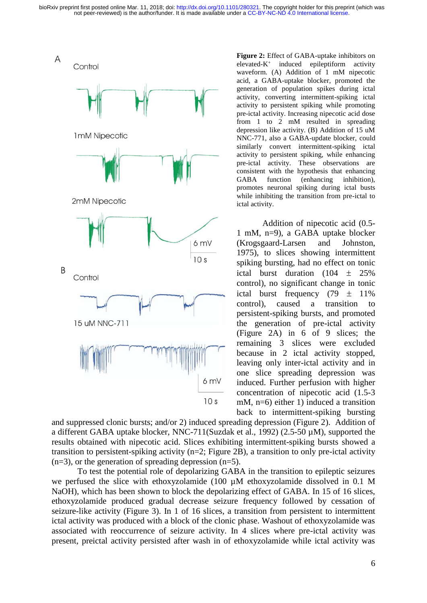

**Figure 2:** Effect of GABA-uptake inhibitors on elevated-K<sup>+</sup> induced epileptiform activity waveform. (A) Addition of 1 mM nipecotic acid, a GABA-uptake blocker, promoted the generation of population spikes during ictal activity, converting intermittent-spiking ictal activity to persistent spiking while promoting pre-ictal activity. Increasing nipecotic acid dose from 1 to 2 mM resulted in spreading depression like activity. (B) Addition of 15 uM NNC-771, also a GABA-update blocker, could similarly convert intermittent-spiking ictal activity to persistent spiking, while enhancing pre-ictal activity. These observations are consistent with the hypothesis that enhancing GABA function (enhancing inhibition), promotes neuronal spiking during ictal busts while inhibiting the transition from pre-ictal to ictal activity.

Addition of nipecotic acid (0.5- 1 mM, n=9), a GABA uptake blocker (Krogsgaard-Larsen and Johnston, 1975), to slices showing intermittent spiking bursting, had no effect on tonic ictal burst duration  $(104 \pm 25\%)$ control), no significant change in tonic ictal burst frequency  $(79 \pm 11\%)$ control), caused a transition to persistent-spiking bursts, and promoted the generation of pre-ictal activity (Figure 2A) in 6 of 9 slices; the remaining 3 slices were excluded because in 2 ictal activity stopped, leaving only inter-ictal activity and in one slice spreading depression was induced. Further perfusion with higher concentration of nipecotic acid (1.5-3 mM, n=6) either 1) induced a transition back to intermittent-spiking bursting

and suppressed clonic bursts; and/or 2) induced spreading depression (Figure 2). Addition of a different GABA uptake blocker, NNC-711(Suzdak et al., 1992) (2.5-50 µM), supported the results obtained with nipecotic acid. Slices exhibiting intermittent-spiking bursts showed a transition to persistent-spiking activity (n=2; Figure 2B), a transition to only pre-ictal activity  $(n=3)$ , or the generation of spreading depression  $(n=5)$ .

To test the potential role of depolarizing GABA in the transition to epileptic seizures we perfused the slice with ethoxyzolamide (100 µM ethoxyzolamide dissolved in 0.1 M NaOH), which has been shown to block the depolarizing effect of GABA. In 15 of 16 slices, ethoxyzolamide produced gradual decrease seizure frequency followed by cessation of seizure-like activity (Figure 3). In 1 of 16 slices, a transition from persistent to intermittent ictal activity was produced with a block of the clonic phase. Washout of ethoxyzolamide was associated with reoccurrence of seizure activity. In 4 slices where pre-ictal activity was present, preictal activity persisted after wash in of ethoxyzolamide while ictal activity was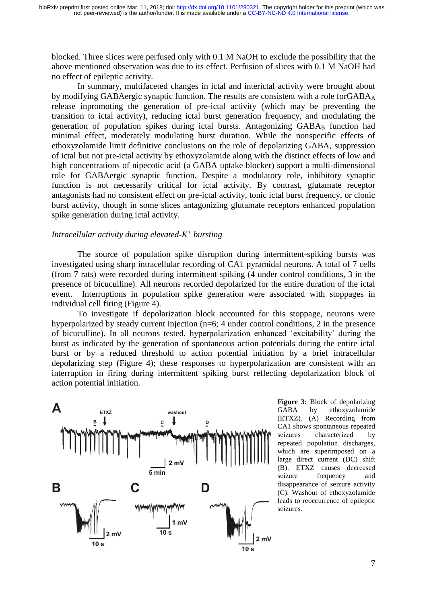blocked. Three slices were perfused only with 0.1 M NaOH to exclude the possibility that the above mentioned observation was due to its effect. Perfusion of slices with 0.1 M NaOH had no effect of epileptic activity.

In summary, multifaceted changes in ictal and interictal activity were brought about by modifying GABAergic synaptic function. The results are consistent with a role forGABA<sub>A</sub> release inpromoting the generation of pre-ictal activity (which may be preventing the transition to ictal activity), reducing ictal burst generation frequency, and modulating the generation of population spikes during ictal bursts. Antagonizing GABAB function had minimal effect, moderately modulating burst duration. While the nonspecific effects of ethoxyzolamide limit definitive conclusions on the role of depolarizing GABA, suppression of ictal but not pre-ictal activity by ethoxyzolamide along with the distinct effects of low and high concentrations of nipecotic acid (a GABA uptake blocker) support a multi-dimensional role for GABAergic synaptic function. Despite a modulatory role, inhibitory synaptic function is not necessarily critical for ictal activity. By contrast, glutamate receptor antagonists had no consistent effect on pre-ictal activity, tonic ictal burst frequency, or clonic burst activity, though in some slices antagonizing glutamate receptors enhanced population spike generation during ictal activity.

# *Intracellular activity during elevated-K + bursting*

The source of population spike disruption during intermittent-spiking bursts was investigated using sharp intracellular recording of CA1 pyramidal neurons. A total of 7 cells (from 7 rats) were recorded during intermittent spiking (4 under control conditions, 3 in the presence of bicuculline). All neurons recorded depolarized for the entire duration of the ictal event. Interruptions in population spike generation were associated with stoppages in individual cell firing (Figure 4).

To investigate if depolarization block accounted for this stoppage, neurons were hyperpolarized by steady current injection (n=6; 4 under control conditions, 2 in the presence of bicuculline). In all neurons tested, hyperpolarization enhanced 'excitability' during the burst as indicated by the generation of spontaneous action potentials during the entire ictal burst or by a reduced threshold to action potential initiation by a brief intracellular depolarizing step (Figure 4); these responses to hyperpolarization are consistent with an interruption in firing during intermittent spiking burst reflecting depolarization block of action potential initiation.



**Figure 3:** Block of depolarizing GABA by ethoxyzolamide (ETXZ). (A) Recording from CA1 shows spontaneous repeated seizures characterized by repeated population discharges, which are superimposed on a large direct current (DC) shift (B). ETXZ causes decreased seizure frequency and disappearance of seizure activity (C). Washout of ethoxyzolamide leads to reoccurrence of epileptic seizures.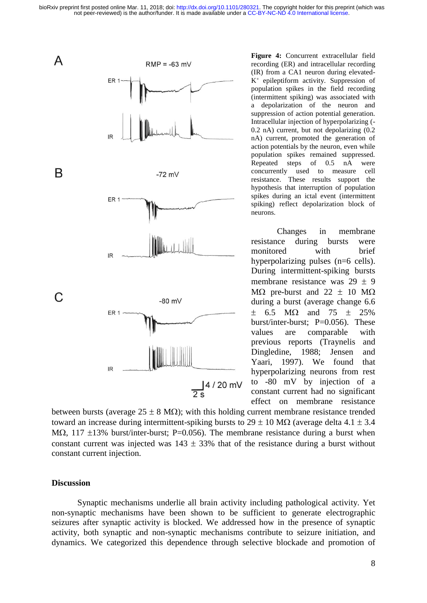

**Figure 4:** Concurrent extracellular field recording (ER) and intracellular recording (IR) from a CA1 neuron during elevated-K<sup>+</sup> epileptiform activity. Suppression of population spikes in the field recording (intermittent spiking) was associated with a depolarization of the neuron and suppression of action potential generation. Intracellular injection of hyperpolarizing (- 0.2 nA) current, but not depolarizing (0.2 nA) current, promoted the generation of action potentials by the neuron, even while population spikes remained suppressed. Repeated steps of 0.5 nA were concurrently used to measure cell resistance. These results support the hypothesis that interruption of population spikes during an ictal event (intermittent spiking) reflect depolarization block of neurons.

Changes in membrane resistance during bursts were monitored with brief hyperpolarizing pulses (n=6 cells). During intermittent-spiking bursts membrane resistance was  $29 \pm 9$ M $\Omega$  pre-burst and 22  $\pm$  10 M $\Omega$ during a burst (average change 6.6  $\pm$  6.5 MQ and 75  $\pm$  25% burst/inter-burst;  $P=0.056$ ). These values are comparable with previous reports (Traynelis and Dingledine, 1988; Jensen and Yaari, 1997). We found that hyperpolarizing neurons from rest to -80 mV by injection of a constant current had no significant effect on membrane resistance

between bursts (average  $25 \pm 8 \text{ M}\Omega$ ); with this holding current membrane resistance trended toward an increase during intermittent-spiking bursts to  $29 \pm 10$  MQ (average delta 4.1  $\pm$  3.4 M $\Omega$ , 117  $\pm$ 13% burst/inter-burst; P=0.056). The membrane resistance during a burst when constant current was injected was  $143 \pm 33\%$  that of the resistance during a burst without constant current injection.

## **Discussion**

Synaptic mechanisms underlie all brain activity including pathological activity. Yet non-synaptic mechanisms have been shown to be sufficient to generate electrographic seizures after synaptic activity is blocked. We addressed how in the presence of synaptic activity, both synaptic and non-synaptic mechanisms contribute to seizure initiation, and dynamics. We categorized this dependence through selective blockade and promotion of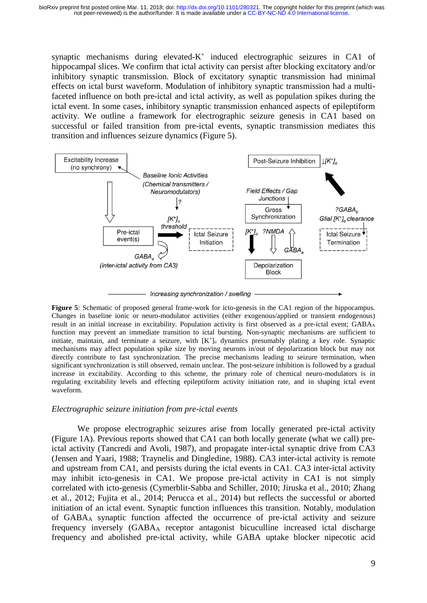synaptic mechanisms during elevated-K<sup>+</sup> induced electrographic seizures in CA1 of hippocampal slices. We confirm that ictal activity can persist after blocking excitatory and/or inhibitory synaptic transmission. Block of excitatory synaptic transmission had minimal effects on ictal burst waveform. Modulation of inhibitory synaptic transmission had a multifaceted influence on both pre-ictal and ictal activity, as well as population spikes during the ictal event. In some cases, inhibitory synaptic transmission enhanced aspects of epileptiform activity. We outline a framework for electrographic seizure genesis in CA1 based on successful or failed transition from pre-ictal events, synaptic transmission mediates this transition and influences seizure dynamics (Figure 5).



**Figure 5**: Schematic of proposed general frame-work for icto-genesis in the CA1 region of the hippocampus. Changes in baseline ionic or neuro-modulator activities (either exogenous/applied or transient endogenous) result in an initial increase in excitability. Population activity is first observed as a pre-ictal event; GABA<sup>A</sup> function may prevent an immediate transition to ictal bursting. Non-synaptic mechanisms are sufficient to initiate, maintain, and terminate a seizure, with [K<sup>+</sup>]<sub>o</sub> dynamics presumably plating a key role. Synaptic mechanisms may affect population spike size by moving neurons in/out of depolarization block but may not directly contribute to fast synchronization. The precise mechanisms leading to seizure termination, when significant synchronization is still observed, remain unclear. The post-seizure inhibition is followed by a gradual increase in excitability. According to this scheme, the primary role of chemical neuro-modulators is in regulating excitability levels and effecting epileptiform activity initiation rate, and in shaping ictal event waveform.

# *Electrographic seizure initiation from pre-ictal events*

We propose electrographic seizures arise from locally generated pre-ictal activity (Figure 1A). Previous reports showed that CA1 can both locally generate (what we call) preictal activity (Tancredi and Avoli, 1987), and propagate inter-ictal synaptic drive from CA3 (Jensen and Yaari, 1988; Traynelis and Dingledine, 1988). CA3 inter-ictal activity is remote and upstream from CA1, and persists during the ictal events in CA1. CA3 inter-ictal activity may inhibit icto-genesis in CA1. We propose pre-ictal activity in CA1 is not simply correlated with icto-genesis (Cymerblit-Sabba and Schiller, 2010; Jiruska et al., 2010; Zhang et al., 2012; Fujita et al., 2014; Perucca et al., 2014) but reflects the successful or aborted initiation of an ictal event. Synaptic function influences this transition. Notably, modulation of GABA<sup>A</sup> synaptic function affected the occurrence of pre-ictal activity and seizure frequency inversely (GABA<sup>A</sup> receptor antagonist bicuculline increased ictal discharge frequency and abolished pre-ictal activity, while GABA uptake blocker nipecotic acid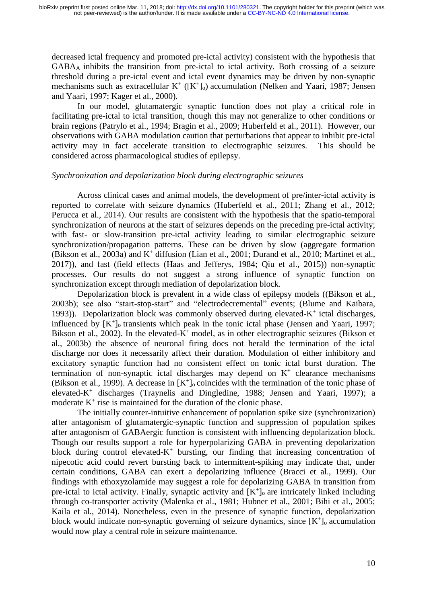decreased ictal frequency and promoted pre-ictal activity) consistent with the hypothesis that GABA<sup>A</sup> inhibits the transition from pre-ictal to ictal activity. Both crossing of a seizure threshold during a pre-ictal event and ictal event dynamics may be driven by non-synaptic mechanisms such as extracellular  $K^+$  ( $[K^+]_0$ ) accumulation (Nelken and Yaari, 1987; Jensen and Yaari, 1997; Kager et al., 2000).

In our model, glutamatergic synaptic function does not play a critical role in facilitating pre-ictal to ictal transition, though this may not generalize to other conditions or brain regions (Patrylo et al., 1994; Bragin et al., 2009; Huberfeld et al., 2011). However, our observations with GABA modulation caution that perturbations that appear to inhibit pre-ictal activity may in fact accelerate transition to electrographic seizures. This should be considered across pharmacological studies of epilepsy.

# *Synchronization and depolarization block during electrographic seizures*

Across clinical cases and animal models, the development of pre/inter-ictal activity is reported to correlate with seizure dynamics (Huberfeld et al., 2011; Zhang et al., 2012; Perucca et al., 2014). Our results are consistent with the hypothesis that the spatio-temporal synchronization of neurons at the start of seizures depends on the preceding pre-ictal activity; with fast- or slow-transition pre-ictal activity leading to similar electrographic seizure synchronization/propagation patterns. These can be driven by slow (aggregate formation (Bikson et al., 2003a) and K<sup>+</sup> diffusion (Lian et al., 2001; Durand et al., 2010; Martinet et al., 2017)), and fast (field effects (Haas and Jefferys, 1984; Qiu et al., 2015)) non-synaptic processes. Our results do not suggest a strong influence of synaptic function on synchronization except through mediation of depolarization block.

Depolarization block is prevalent in a wide class of epilepsy models ((Bikson et al., 2003b); see also "start-stop-start" and "electrodecremental" events; (Blume and Kaibara, 1993)). Depolarization block was commonly observed during elevated- $K^+$  ictal discharges, influenced by  $[K^+]$ <sub>o</sub> transients which peak in the tonic ictal phase (Jensen and Yaari, 1997; Bikson et al., 2002). In the elevated-K<sup>+</sup> model, as in other electrographic seizures (Bikson et al., 2003b) the absence of neuronal firing does not herald the termination of the ictal discharge nor does it necessarily affect their duration. Modulation of either inhibitory and excitatory synaptic function had no consistent effect on tonic ictal burst duration. The termination of non-synaptic ictal discharges may depend on  $K<sup>+</sup>$  clearance mechanisms (Bikson et al., 1999). A decrease in  $[K^+]$  coincides with the termination of the tonic phase of elevated-K + discharges (Traynelis and Dingledine, 1988; Jensen and Yaari, 1997); a moderate  $K^+$  rise is maintained for the duration of the clonic phase.

The initially counter-intuitive enhancement of population spike size (synchronization) after antagonism of glutamatergic-synaptic function and suppression of population spikes after antagonism of GABAergic function is consistent with influencing depolarization block. Though our results support a role for hyperpolarizing GABA in preventing depolarization block during control elevated- $K^+$  bursting, our finding that increasing concentration of nipecotic acid could revert bursting back to intermittent-spiking may indicate that, under certain conditions, GABA can exert a depolarizing influence (Bracci et al., 1999). Our findings with ethoxyzolamide may suggest a role for depolarizing GABA in transition from pre-ictal to ictal activity. Finally, synaptic activity and  $[K^+]$ <sub>o</sub> are intricately linked including through co-transporter activity (Malenka et al., 1981; Hubner et al., 2001; Bihi et al., 2005; Kaila et al., 2014). Nonetheless, even in the presence of synaptic function, depolarization block would indicate non-synaptic governing of seizure dynamics, since  $[K^+]$ <sub>o</sub> accumulation would now play a central role in seizure maintenance.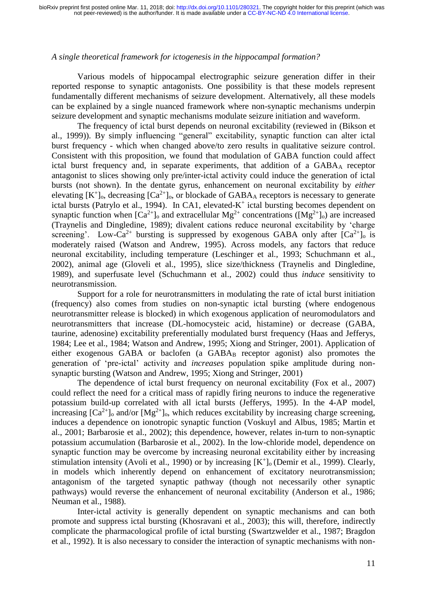# *A single theoretical framework for ictogenesis in the hippocampal formation?*

Various models of hippocampal electrographic seizure generation differ in their reported response to synaptic antagonists. One possibility is that these models represent fundamentally different mechanisms of seizure development. Alternatively, all these models can be explained by a single nuanced framework where non-synaptic mechanisms underpin seizure development and synaptic mechanisms modulate seizure initiation and waveform.

The frequency of ictal burst depends on neuronal excitability (reviewed in (Bikson et al., 1999)). By simply influencing "general" excitability, synaptic function can alter ictal burst frequency - which when changed above/to zero results in qualitative seizure control. Consistent with this proposition, we found that modulation of GABA function could affect ictal burst frequency and, in separate experiments, that addition of a GABA<sub>A</sub> receptor antagonist to slices showing only pre/inter-ictal activity could induce the generation of ictal bursts (not shown). In the dentate gyrus, enhancement on neuronal excitability by *either* elevating  $[K^+]_0$ , decreasing  $[Ca^{2+}]_0$ , or blockade of GABA<sub>A</sub> receptors is necessary to generate ictal bursts (Patrylo et al., 1994). In CA1, elevated- $K^+$  ictal bursting becomes dependent on synaptic function when  $[Ca^{2+}]_0$  and extracellular  $Mg^{2+}$  concentrations  $([Mg^{2+}]_0)$  are increased (Traynelis and Dingledine, 1989); divalent cations reduce neuronal excitability by 'charge screening'. Low-Ca<sup>2+</sup> bursting is suppressed by exogenous GABA only after  $[Ca^{2+}]_0$  is moderately raised (Watson and Andrew, 1995). Across models, any factors that reduce neuronal excitability, including temperature (Leschinger et al., 1993; Schuchmann et al., 2002), animal age (Gloveli et al., 1995), slice size/thickness (Traynelis and Dingledine, 1989), and superfusate level (Schuchmann et al., 2002) could thus *induce* sensitivity to neurotransmission.

Support for a role for neurotransmitters in modulating the rate of ictal burst initiation (frequency) also comes from studies on non-synaptic ictal bursting (where endogenous neurotransmitter release is blocked) in which exogenous application of neuromodulators and neurotransmitters that increase (DL-homocysteic acid, histamine) or decrease (GABA, taurine, adenosine) excitability preferentially modulated burst frequency (Haas and Jefferys, 1984; Lee et al., 1984; Watson and Andrew, 1995; Xiong and Stringer, 2001). Application of either exogenous GABA or baclofen (a GABA<sub>B</sub> receptor agonist) also promotes the generation of 'pre-ictal' activity and *increases* population spike amplitude during nonsynaptic bursting (Watson and Andrew, 1995; Xiong and Stringer, 2001)

The dependence of ictal burst frequency on neuronal excitability (Fox et al., 2007) could reflect the need for a critical mass of rapidly firing neurons to induce the regenerative potassium build-up correlated with all ictal bursts (Jefferys, 1995). In the 4-AP model, increasing  $[Ca^{2+}]_0$  and/or  $[Mg^{2+}]_0$ , which reduces excitability by increasing charge screening, induces a dependence on ionotropic synaptic function (Voskuyl and Albus, 1985; Martin et al., 2001; Barbarosie et al., 2002); this dependence, however, relates in-turn to non-synaptic potassium accumulation (Barbarosie et al., 2002). In the low-chloride model, dependence on synaptic function may be overcome by increasing neuronal excitability either by increasing stimulation intensity (Avoli et al., 1990) or by increasing  $[K^+]_0$  (Demir et al., 1999). Clearly, in models which inherently depend on enhancement of excitatory neurotransmission; antagonism of the targeted synaptic pathway (though not necessarily other synaptic pathways) would reverse the enhancement of neuronal excitability (Anderson et al., 1986; Neuman et al., 1988).

Inter-ictal activity is generally dependent on synaptic mechanisms and can both promote and suppress ictal bursting (Khosravani et al., 2003); this will, therefore, indirectly complicate the pharmacological profile of ictal bursting (Swartzwelder et al., 1987; Bragdon et al., 1992). It is also necessary to consider the interaction of synaptic mechanisms with non-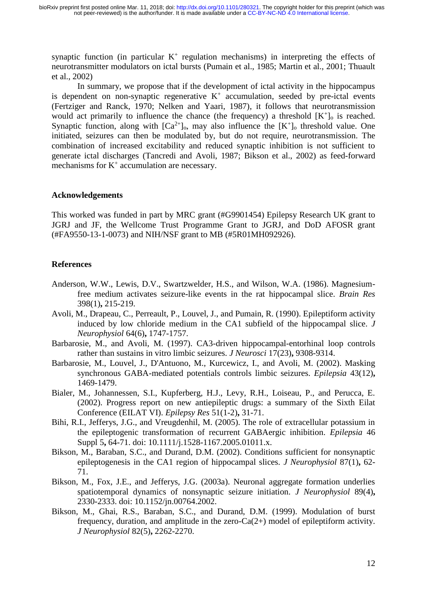synaptic function (in particular  $K^+$  regulation mechanisms) in interpreting the effects of neurotransmitter modulators on ictal bursts (Pumain et al., 1985; Martin et al., 2001; Thuault et al., 2002)

In summary, we propose that if the development of ictal activity in the hippocampus is dependent on non-synaptic regenerative  $K^+$  accumulation, seeded by pre-ictal events (Fertziger and Ranck, 1970; Nelken and Yaari, 1987), it follows that neurotransmission would act primarily to influence the chance (the frequency) a threshold  $[K^+]$ <sub>o</sub> is reached. Synaptic function, along with  $[Ca^{2+}]_0$ , may also influence the  $[K^+]_0$  threshold value. One initiated, seizures can then be modulated by, but do not require, neurotransmission. The combination of increased excitability and reduced synaptic inhibition is not sufficient to generate ictal discharges (Tancredi and Avoli, 1987; Bikson et al., 2002) as feed-forward mechanisms for  $K^+$  accumulation are necessary.

## **Acknowledgements**

This worked was funded in part by MRC grant (#G9901454) Epilepsy Research UK grant to JGRJ and JF, the Wellcome Trust Programme Grant to JGRJ, and DoD AFOSR grant (#FA9550-13-1-0073) and NIH/NSF grant to MB (#5R01MH092926).

# **References**

- Anderson, W.W., Lewis, D.V., Swartzwelder, H.S., and Wilson, W.A. (1986). Magnesiumfree medium activates seizure-like events in the rat hippocampal slice. *Brain Res* 398(1)**,** 215-219.
- Avoli, M., Drapeau, C., Perreault, P., Louvel, J., and Pumain, R. (1990). Epileptiform activity induced by low chloride medium in the CA1 subfield of the hippocampal slice. *J Neurophysiol* 64(6)**,** 1747-1757.
- Barbarosie, M., and Avoli, M. (1997). CA3-driven hippocampal-entorhinal loop controls rather than sustains in vitro limbic seizures. *J Neurosci* 17(23)**,** 9308-9314.
- Barbarosie, M., Louvel, J., D'Antuono, M., Kurcewicz, I., and Avoli, M. (2002). Masking synchronous GABA-mediated potentials controls limbic seizures. *Epilepsia* 43(12)**,** 1469-1479.
- Bialer, M., Johannessen, S.I., Kupferberg, H.J., Levy, R.H., Loiseau, P., and Perucca, E. (2002). Progress report on new antiepileptic drugs: a summary of the Sixth Eilat Conference (EILAT VI). *Epilepsy Res* 51(1-2)**,** 31-71.
- Bihi, R.I., Jefferys, J.G., and Vreugdenhil, M. (2005). The role of extracellular potassium in the epileptogenic transformation of recurrent GABAergic inhibition. *Epilepsia* 46 Suppl 5**,** 64-71. doi: 10.1111/j.1528-1167.2005.01011.x.
- Bikson, M., Baraban, S.C., and Durand, D.M. (2002). Conditions sufficient for nonsynaptic epileptogenesis in the CA1 region of hippocampal slices. *J Neurophysiol* 87(1)**,** 62- 71.
- Bikson, M., Fox, J.E., and Jefferys, J.G. (2003a). Neuronal aggregate formation underlies spatiotemporal dynamics of nonsynaptic seizure initiation. *J Neurophysiol* 89(4)**,** 2330-2333. doi: 10.1152/jn.00764.2002.
- Bikson, M., Ghai, R.S., Baraban, S.C., and Durand, D.M. (1999). Modulation of burst frequency, duration, and amplitude in the zero- $Ca(2+)$  model of epileptiform activity. *J Neurophysiol* 82(5)**,** 2262-2270.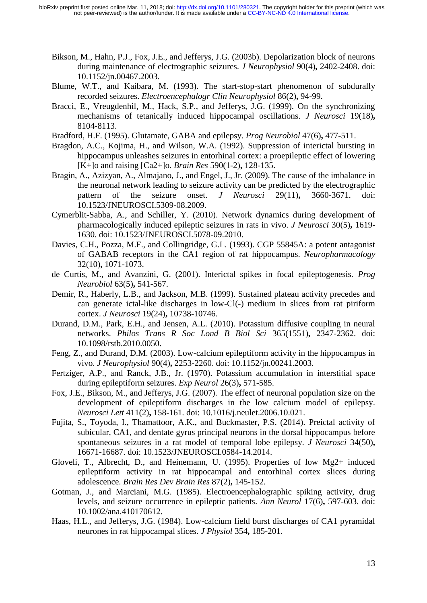- Bikson, M., Hahn, P.J., Fox, J.E., and Jefferys, J.G. (2003b). Depolarization block of neurons during maintenance of electrographic seizures. *J Neurophysiol* 90(4)**,** 2402-2408. doi: 10.1152/jn.00467.2003.
- Blume, W.T., and Kaibara, M. (1993). The start-stop-start phenomenon of subdurally recorded seizures. *Electroencephalogr Clin Neurophysiol* 86(2)**,** 94-99.
- Bracci, E., Vreugdenhil, M., Hack, S.P., and Jefferys, J.G. (1999). On the synchronizing mechanisms of tetanically induced hippocampal oscillations. *J Neurosci* 19(18)**,** 8104-8113.
- Bradford, H.F. (1995). Glutamate, GABA and epilepsy. *Prog Neurobiol* 47(6)**,** 477-511.
- Bragdon, A.C., Kojima, H., and Wilson, W.A. (1992). Suppression of interictal bursting in hippocampus unleashes seizures in entorhinal cortex: a proepileptic effect of lowering [K+]o and raising [Ca2+]o. *Brain Res* 590(1-2)**,** 128-135.
- Bragin, A., Azizyan, A., Almajano, J., and Engel, J., Jr. (2009). The cause of the imbalance in the neuronal network leading to seizure activity can be predicted by the electrographic pattern of the seizure onset. *J Neurosci* 29(11)**,** 3660-3671. doi: 10.1523/JNEUROSCI.5309-08.2009.
- Cymerblit-Sabba, A., and Schiller, Y. (2010). Network dynamics during development of pharmacologically induced epileptic seizures in rats in vivo. *J Neurosci* 30(5)**,** 1619- 1630. doi: 10.1523/JNEUROSCI.5078-09.2010.
- Davies, C.H., Pozza, M.F., and Collingridge, G.L. (1993). CGP 55845A: a potent antagonist of GABAB receptors in the CA1 region of rat hippocampus. *Neuropharmacology* 32(10)**,** 1071-1073.
- de Curtis, M., and Avanzini, G. (2001). Interictal spikes in focal epileptogenesis. *Prog Neurobiol* 63(5)**,** 541-567.
- Demir, R., Haberly, L.B., and Jackson, M.B. (1999). Sustained plateau activity precedes and can generate ictal-like discharges in low-Cl(-) medium in slices from rat piriform cortex. *J Neurosci* 19(24)**,** 10738-10746.
- Durand, D.M., Park, E.H., and Jensen, A.L. (2010). Potassium diffusive coupling in neural networks. *Philos Trans R Soc Lond B Biol Sci* 365(1551)**,** 2347-2362. doi: 10.1098/rstb.2010.0050.
- Feng, Z., and Durand, D.M. (2003). Low-calcium epileptiform activity in the hippocampus in vivo. *J Neurophysiol* 90(4)**,** 2253-2260. doi: 10.1152/jn.00241.2003.
- Fertziger, A.P., and Ranck, J.B., Jr. (1970). Potassium accumulation in interstitial space during epileptiform seizures. *Exp Neurol* 26(3)**,** 571-585.
- Fox, J.E., Bikson, M., and Jefferys, J.G. (2007). The effect of neuronal population size on the development of epileptiform discharges in the low calcium model of epilepsy. *Neurosci Lett* 411(2)**,** 158-161. doi: 10.1016/j.neulet.2006.10.021.
- Fujita, S., Toyoda, I., Thamattoor, A.K., and Buckmaster, P.S. (2014). Preictal activity of subicular, CA1, and dentate gyrus principal neurons in the dorsal hippocampus before spontaneous seizures in a rat model of temporal lobe epilepsy. *J Neurosci* 34(50)**,** 16671-16687. doi: 10.1523/JNEUROSCI.0584-14.2014.
- Gloveli, T., Albrecht, D., and Heinemann, U. (1995). Properties of low Mg2+ induced epileptiform activity in rat hippocampal and entorhinal cortex slices during adolescence. *Brain Res Dev Brain Res* 87(2)**,** 145-152.
- Gotman, J., and Marciani, M.G. (1985). Electroencephalographic spiking activity, drug levels, and seizure occurrence in epileptic patients. *Ann Neurol* 17(6)**,** 597-603. doi: 10.1002/ana.410170612.
- Haas, H.L., and Jefferys, J.G. (1984). Low-calcium field burst discharges of CA1 pyramidal neurones in rat hippocampal slices. *J Physiol* 354**,** 185-201.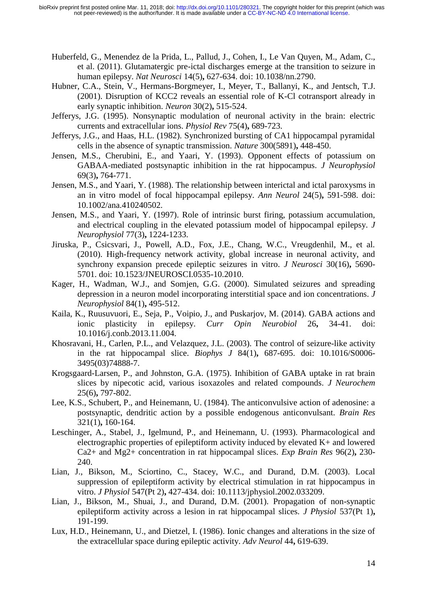- Huberfeld, G., Menendez de la Prida, L., Pallud, J., Cohen, I., Le Van Quyen, M., Adam, C., et al. (2011). Glutamatergic pre-ictal discharges emerge at the transition to seizure in human epilepsy. *Nat Neurosci* 14(5)**,** 627-634. doi: 10.1038/nn.2790.
- Hubner, C.A., Stein, V., Hermans-Borgmeyer, I., Meyer, T., Ballanyi, K., and Jentsch, T.J. (2001). Disruption of KCC2 reveals an essential role of K-Cl cotransport already in early synaptic inhibition. *Neuron* 30(2)**,** 515-524.
- Jefferys, J.G. (1995). Nonsynaptic modulation of neuronal activity in the brain: electric currents and extracellular ions. *Physiol Rev* 75(4)**,** 689-723.
- Jefferys, J.G., and Haas, H.L. (1982). Synchronized bursting of CA1 hippocampal pyramidal cells in the absence of synaptic transmission. *Nature* 300(5891)**,** 448-450.
- Jensen, M.S., Cherubini, E., and Yaari, Y. (1993). Opponent effects of potassium on GABAA-mediated postsynaptic inhibition in the rat hippocampus. *J Neurophysiol* 69(3)**,** 764-771.
- Jensen, M.S., and Yaari, Y. (1988). The relationship between interictal and ictal paroxysms in an in vitro model of focal hippocampal epilepsy. *Ann Neurol* 24(5)**,** 591-598. doi: 10.1002/ana.410240502.
- Jensen, M.S., and Yaari, Y. (1997). Role of intrinsic burst firing, potassium accumulation, and electrical coupling in the elevated potassium model of hippocampal epilepsy. *J Neurophysiol* 77(3)**,** 1224-1233.
- Jiruska, P., Csicsvari, J., Powell, A.D., Fox, J.E., Chang, W.C., Vreugdenhil, M., et al. (2010). High-frequency network activity, global increase in neuronal activity, and synchrony expansion precede epileptic seizures in vitro. *J Neurosci* 30(16)**,** 5690- 5701. doi: 10.1523/JNEUROSCI.0535-10.2010.
- Kager, H., Wadman, W.J., and Somjen, G.G. (2000). Simulated seizures and spreading depression in a neuron model incorporating interstitial space and ion concentrations. *J Neurophysiol* 84(1)**,** 495-512.
- Kaila, K., Ruusuvuori, E., Seja, P., Voipio, J., and Puskarjov, M. (2014). GABA actions and ionic plasticity in epilepsy. *Curr Opin Neurobiol* 26**,** 34-41. doi: 10.1016/j.conb.2013.11.004.
- Khosravani, H., Carlen, P.L., and Velazquez, J.L. (2003). The control of seizure-like activity in the rat hippocampal slice. *Biophys J* 84(1)**,** 687-695. doi: 10.1016/S0006- 3495(03)74888-7.
- Krogsgaard-Larsen, P., and Johnston, G.A. (1975). Inhibition of GABA uptake in rat brain slices by nipecotic acid, various isoxazoles and related compounds. *J Neurochem* 25(6)**,** 797-802.
- Lee, K.S., Schubert, P., and Heinemann, U. (1984). The anticonvulsive action of adenosine: a postsynaptic, dendritic action by a possible endogenous anticonvulsant. *Brain Res* 321(1)**,** 160-164.
- Leschinger, A., Stabel, J., Igelmund, P., and Heinemann, U. (1993). Pharmacological and electrographic properties of epileptiform activity induced by elevated K+ and lowered Ca2+ and Mg2+ concentration in rat hippocampal slices. *Exp Brain Res* 96(2)**,** 230- 240.
- Lian, J., Bikson, M., Sciortino, C., Stacey, W.C., and Durand, D.M. (2003). Local suppression of epileptiform activity by electrical stimulation in rat hippocampus in vitro. *J Physiol* 547(Pt 2)**,** 427-434. doi: 10.1113/jphysiol.2002.033209.
- Lian, J., Bikson, M., Shuai, J., and Durand, D.M. (2001). Propagation of non-synaptic epileptiform activity across a lesion in rat hippocampal slices. *J Physiol* 537(Pt 1)**,** 191-199.
- Lux, H.D., Heinemann, U., and Dietzel, I. (1986). Ionic changes and alterations in the size of the extracellular space during epileptic activity. *Adv Neurol* 44**,** 619-639.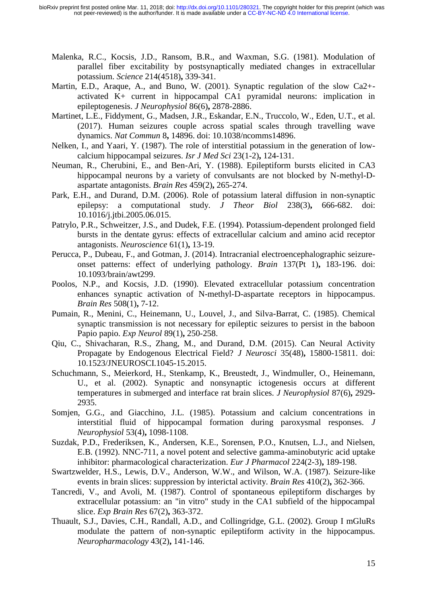- Malenka, R.C., Kocsis, J.D., Ransom, B.R., and Waxman, S.G. (1981). Modulation of parallel fiber excitability by postsynaptically mediated changes in extracellular potassium. *Science* 214(4518)**,** 339-341.
- Martin, E.D., Araque, A., and Buno, W. (2001). Synaptic regulation of the slow Ca2+ activated K+ current in hippocampal CA1 pyramidal neurons: implication in epileptogenesis. *J Neurophysiol* 86(6)**,** 2878-2886.
- Martinet, L.E., Fiddyment, G., Madsen, J.R., Eskandar, E.N., Truccolo, W., Eden, U.T., et al. (2017). Human seizures couple across spatial scales through travelling wave dynamics. *Nat Commun* 8**,** 14896. doi: 10.1038/ncomms14896.
- Nelken, I., and Yaari, Y. (1987). The role of interstitial potassium in the generation of lowcalcium hippocampal seizures. *Isr J Med Sci* 23(1-2)**,** 124-131.
- Neuman, R., Cherubini, E., and Ben-Ari, Y. (1988). Epileptiform bursts elicited in CA3 hippocampal neurons by a variety of convulsants are not blocked by N-methyl-Daspartate antagonists. *Brain Res* 459(2)**,** 265-274.
- Park, E.H., and Durand, D.M. (2006). Role of potassium lateral diffusion in non-synaptic epilepsy: a computational study. *J Theor Biol* 238(3)**,** 666-682. doi: 10.1016/j.jtbi.2005.06.015.
- Patrylo, P.R., Schweitzer, J.S., and Dudek, F.E. (1994). Potassium-dependent prolonged field bursts in the dentate gyrus: effects of extracellular calcium and amino acid receptor antagonists. *Neuroscience* 61(1)**,** 13-19.
- Perucca, P., Dubeau, F., and Gotman, J. (2014). Intracranial electroencephalographic seizureonset patterns: effect of underlying pathology. *Brain* 137(Pt 1)**,** 183-196. doi: 10.1093/brain/awt299.
- Poolos, N.P., and Kocsis, J.D. (1990). Elevated extracellular potassium concentration enhances synaptic activation of N-methyl-D-aspartate receptors in hippocampus. *Brain Res* 508(1)**,** 7-12.
- Pumain, R., Menini, C., Heinemann, U., Louvel, J., and Silva-Barrat, C. (1985). Chemical synaptic transmission is not necessary for epileptic seizures to persist in the baboon Papio papio. *Exp Neurol* 89(1)**,** 250-258.
- Qiu, C., Shivacharan, R.S., Zhang, M., and Durand, D.M. (2015). Can Neural Activity Propagate by Endogenous Electrical Field? *J Neurosci* 35(48)**,** 15800-15811. doi: 10.1523/JNEUROSCI.1045-15.2015.
- Schuchmann, S., Meierkord, H., Stenkamp, K., Breustedt, J., Windmuller, O., Heinemann, U., et al. (2002). Synaptic and nonsynaptic ictogenesis occurs at different temperatures in submerged and interface rat brain slices. *J Neurophysiol* 87(6)**,** 2929- 2935.
- Somjen, G.G., and Giacchino, J.L. (1985). Potassium and calcium concentrations in interstitial fluid of hippocampal formation during paroxysmal responses. *J Neurophysiol* 53(4)**,** 1098-1108.
- Suzdak, P.D., Frederiksen, K., Andersen, K.E., Sorensen, P.O., Knutsen, L.J., and Nielsen, E.B. (1992). NNC-711, a novel potent and selective gamma-aminobutyric acid uptake inhibitor: pharmacological characterization. *Eur J Pharmacol* 224(2-3)**,** 189-198.
- Swartzwelder, H.S., Lewis, D.V., Anderson, W.W., and Wilson, W.A. (1987). Seizure-like events in brain slices: suppression by interictal activity. *Brain Res* 410(2)**,** 362-366.
- Tancredi, V., and Avoli, M. (1987). Control of spontaneous epileptiform discharges by extracellular potassium: an "in vitro" study in the CA1 subfield of the hippocampal slice. *Exp Brain Res* 67(2)**,** 363-372.
- Thuault, S.J., Davies, C.H., Randall, A.D., and Collingridge, G.L. (2002). Group I mGluRs modulate the pattern of non-synaptic epileptiform activity in the hippocampus. *Neuropharmacology* 43(2)**,** 141-146.